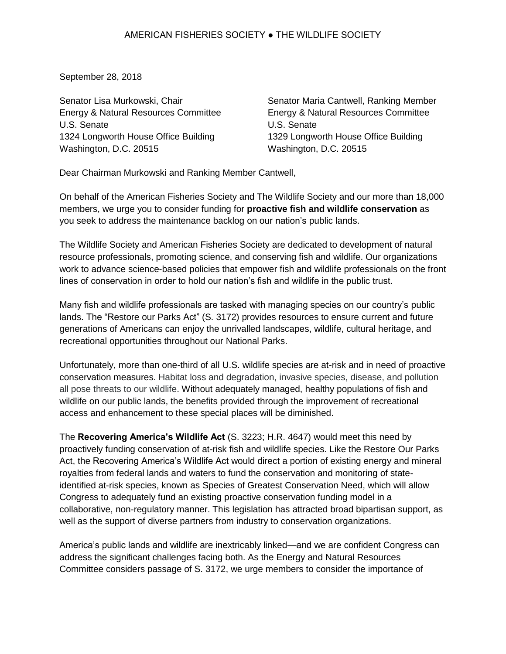September 28, 2018

Senator Lisa Murkowski, Chair Energy & Natural Resources Committee U.S. Senate 1324 Longworth House Office Building Washington, D.C. 20515

Senator Maria Cantwell, Ranking Member Energy & Natural Resources Committee U.S. Senate 1329 Longworth House Office Building Washington, D.C. 20515

Dear Chairman Murkowski and Ranking Member Cantwell,

On behalf of the American Fisheries Society and The Wildlife Society and our more than 18,000 members, we urge you to consider funding for **proactive fish and wildlife conservation** as you seek to address the maintenance backlog on our nation's public lands.

The Wildlife Society and American Fisheries Society are dedicated to development of natural resource professionals, promoting science, and conserving fish and wildlife. Our organizations work to advance science-based policies that empower fish and wildlife professionals on the front lines of conservation in order to hold our nation's fish and wildlife in the public trust.

Many fish and wildlife professionals are tasked with managing species on our country's public lands. The "Restore our Parks Act" (S. 3172) provides resources to ensure current and future generations of Americans can enjoy the unrivalled landscapes, wildlife, cultural heritage, and recreational opportunities throughout our National Parks.

Unfortunately, more than one-third of all U.S. wildlife species are at-risk and in need of proactive conservation measures. Habitat loss and degradation, invasive species, disease, and pollution all pose threats to our wildlife. Without adequately managed, healthy populations of fish and wildlife on our public lands, the benefits provided through the improvement of recreational access and enhancement to these special places will be diminished.

The **Recovering America's Wildlife Act** (S. 3223; H.R. 4647) would meet this need by proactively funding conservation of at-risk fish and wildlife species. Like the Restore Our Parks Act, the Recovering America's Wildlife Act would direct a portion of existing energy and mineral royalties from federal lands and waters to fund the conservation and monitoring of stateidentified at-risk species, known as Species of Greatest Conservation Need, which will allow Congress to adequately fund an existing proactive conservation funding model in a collaborative, non-regulatory manner. This legislation has attracted broad bipartisan support, as well as the support of diverse partners from industry to conservation organizations.

America's public lands and wildlife are inextricably linked—and we are confident Congress can address the significant challenges facing both. As the Energy and Natural Resources Committee considers passage of S. 3172, we urge members to consider the importance of